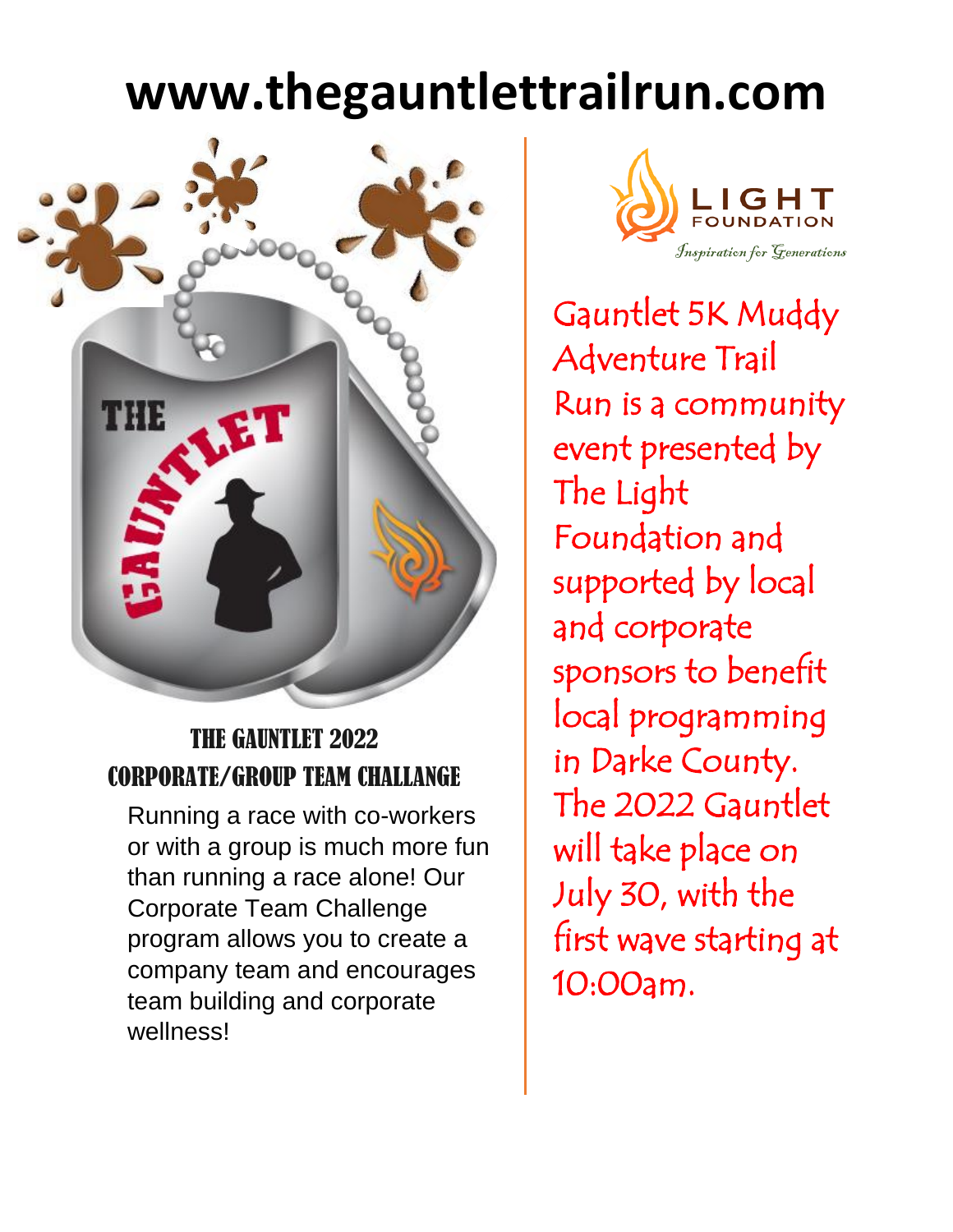# **www.thegauntlettrailrun.com**



#### THE GAUNTLET 2022 CORPORATE/GROUP TEAM CHALLANGE

Running a race with co-workers or with a group is much more fun than running a race alone! Our Corporate Team Challenge program allows you to create a company team and encourages team building and corporate wellness!



Gauntlet 5K Muddy Adventure Trail Run is a community event presented by The Light Foundation and supported by local and corporate sponsors to benefit local programming in Darke County. The 2022 Gauntlet will take place on July 30, with the first wave starting at 10:00am.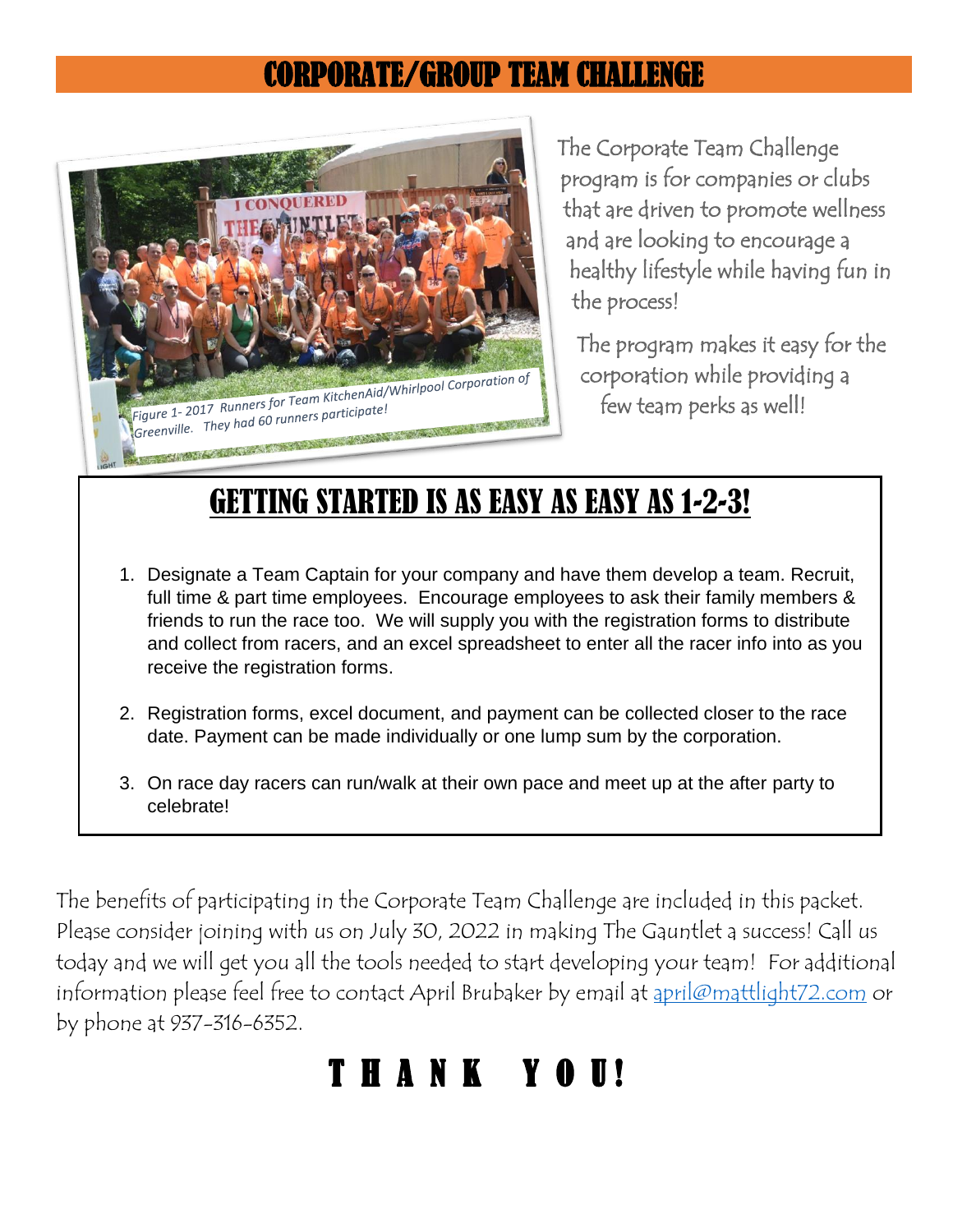#### CORPORATE/GROUP TEAM CHALLENGE



The Corporate Team Challenge program is for companies or clubs that are driven to promote wellness and are looking to encourage a healthy lifestyle while having fun in the process!

The program makes it easy for the corporation while providing a few team perks as well!

## GETTING STARTED IS AS EASY AS EASY AS 1-2-3!

- 1. Designate a Team Captain for your company and have them develop a team. Recruit, full time & part time employees. Encourage employees to ask their family members & friends to run the race too. We will supply you with the registration forms to distribute and collect from racers, and an excel spreadsheet to enter all the racer info into as you receive the registration forms.
- 2. Registration forms, excel document, and payment can be collected closer to the race date. Payment can be made individually or one lump sum by the corporation.
- 3. On race day racers can run/walk at their own pace and meet up at the after party to celebrate!

The benefits of participating in the Corporate Team Challenge are included in this packet. Please consider joining with us on July 30, 2022 in making The Gauntlet a success! Call us today and we will get you all the tools needed to start developing your team! For additional information please feel free to contact April Brubaker by email at [april@mattlight72.com](mailto:april@mattlight72.com) or by phone at 937-316-6352.